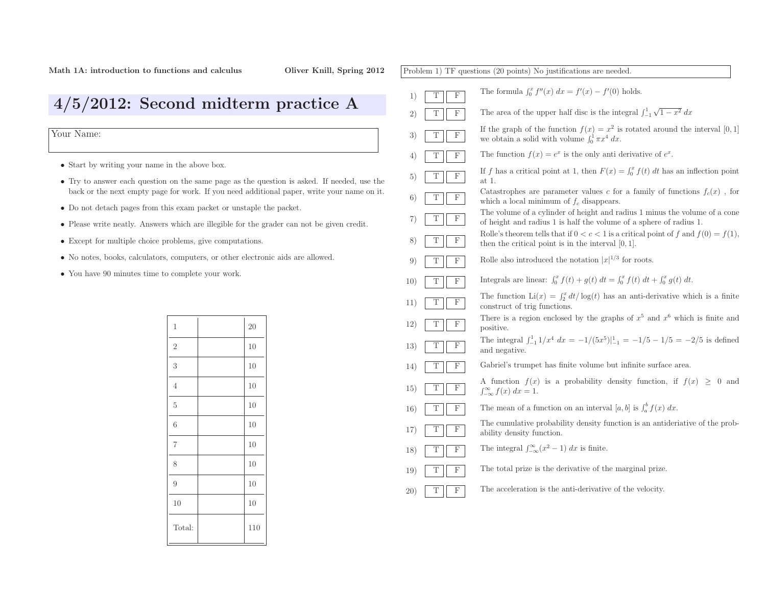Problem 1) TF questions (20 points) No justifications are needed. 1)TFThe formula  $\int_0^x f''(x) dx = f'(x) - f'(0)$  holds. 2)TFF The area of the upper half disc is the integral  $\int_{-1}^{1} \sqrt{1 - x^2} \, dx$ 3)TFIf the graph of the function  $f(x) = x^2$  is rotated around the interval [0, 1] we obtain a solid with volume  $\int_0^1 \pi x^4 dx$ . we obtain a solid with volume  $\int_0^1 \pi x^4 dx$ . 4)TFF The function  $f(x) = e^x$  is the only anti-derivative of  $e^x$ . 5)TF $\overline{F}$  If f has a critical point at 1, then  $F(x) = \int_0^x f(t) dt$  has an inflection point at 1. at 1. 6)TFCatastrophes are parameter values c for a family of functions  $f_c(x)$ , for which a local minimum of  $f_c$  disappears. 7)TF The volume of <sup>a</sup> cylinder of height and radius <sup>1</sup> minus the volume of <sup>a</sup> cone of height and radius <sup>1</sup> is half the volume of <sup>a</sup> sphere of radius 1. 8)TFRolle's theorem tells that if  $0 < c < 1$  is a critical point of f and  $f(0) = f(1)$ , then the critical point is in the interval [0, 1]. 9)TFF Rolle also introduced the notation  $|x|^{1/3}$  for roots. 10)TFF Integrals are linear:  $\int_0^x f(t) + g(t) dt = \int_0^x f(t) dt + \int_0^x g(t) dt$ . 11)TFThe function  $\text{Li}(x) = \int_2^x d$ <br>construct of trig functions.  $\int_2^x dt/\log(t)$  has an anti-derivative which is a finite 12)TFThere is a region enclosed by the graphs of  $x^5$  and  $x^6$  which is finite and positive. positive.The integral  $\int_{-1}^{1} 1/x^4 dx = -1/(5x^5)|_{-1}^{1} = -1/5 - 1/5 = -2/5$  is defined and negative. 13)TFand negative. 14)TF Gabriel's trumpet has finite volume but infinite surface area. 15)TFA function  $f(x)$  is a probability density function, if  $f(x) \geq 0$  and  $\int_{-\infty}^{\infty} f(x) dx = 1.$ 16)TF**F** The mean of a function on an interval  $[a, b]$  is  $\int_a^b f(x) dx$ . 17)TF The cumulative probability density function is an antideriative of the prob- ability density function. 18)TFF The integral  $\int_{-\infty}^{\infty} (x^2 - 1) dx$  is finite. 19)T $\mathbf F$  The total prize is the derivative of the marginal prize. 20)TFThe acceleration is the anti-derivative of the velocity.

4/5/2012: Second midterm practice <sup>A</sup>

Your Name:

- Start by writing your name in the above box.
- Try to answer each question on the same page as the question is asked. If needed, use the back or the next empty page for work. If you need additional paper, write your name on it.
- Do not detach pages from this exam packet or unstaple the packet.
- Please write neatly. Answers which are illegible for the grader can not be <sup>g</sup>iven credit.
- Except for multiple choice problems, <sup>g</sup>ive computations.
- No notes, books, calculators, computers, or other electronic aids are allowed.
- You have <sup>90</sup> minutes time to complete your work.

| $\mathbf 1$    | 20  |
|----------------|-----|
| $\mathbf{2}$   | 10  |
| 3              | 10  |
| $\overline{4}$ | 10  |
| $\overline{5}$ | 10  |
| 6              | 10  |
| $\overline{7}$ | 10  |
| 8              | 10  |
| 9              | 10  |
| 10             | 10  |
| Total:         | 110 |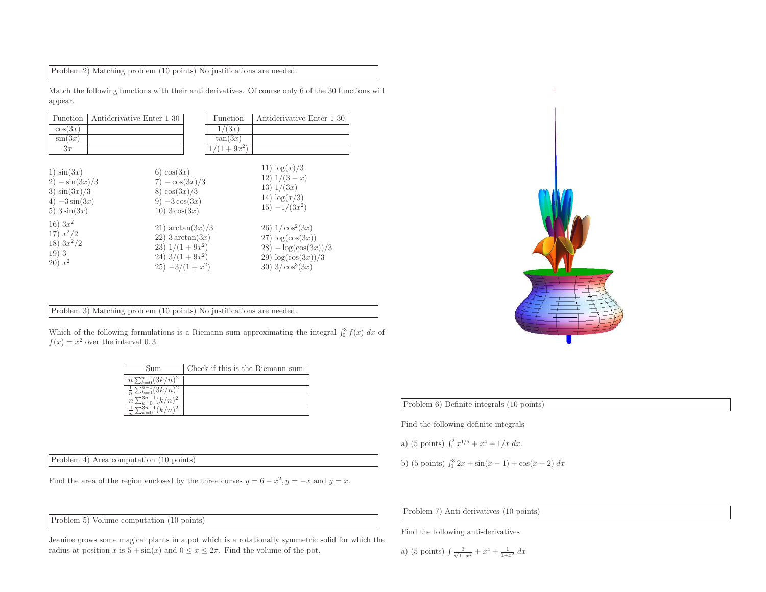Problem 2) Matching problem (10 points) No justifications are needed.

Match the following functions with their anti derivatives. Of course only <sup>6</sup> of the <sup>30</sup> functions will appear.

| Function                                                                                                                                                        | Antiderivative Enter 1-30 |                                                                                                                                                                                                             | Function     | Antiderivative Enter 1-30                                                                                                                                                                                            |
|-----------------------------------------------------------------------------------------------------------------------------------------------------------------|---------------------------|-------------------------------------------------------------------------------------------------------------------------------------------------------------------------------------------------------------|--------------|----------------------------------------------------------------------------------------------------------------------------------------------------------------------------------------------------------------------|
| cos(3x)                                                                                                                                                         |                           |                                                                                                                                                                                                             | 1/(3x)       |                                                                                                                                                                                                                      |
| $\sin(3x)$                                                                                                                                                      |                           |                                                                                                                                                                                                             | tan(3x)      |                                                                                                                                                                                                                      |
| 3x                                                                                                                                                              |                           |                                                                                                                                                                                                             | $1/(1+9x^2)$ |                                                                                                                                                                                                                      |
| $1)$ $\sin(3x)$<br>$2) - \sin(3x)/3$<br>3) $\sin(3x)/3$<br>4) $-3\sin(3x)$<br>5) $3\sin(3x)$<br>$16) 3x^2$<br>17) $x^2/2$<br>18) $3x^2/2$<br>19)3<br>$(20) x^2$ |                           | 6) $cos(3x)$<br>$7) - \cos(3x)/3$<br>8) $\cos(3x)/3$<br>9) $-3\cos(3x)$<br>$10)$ 3 $\cos(3x)$<br>21) $\arctan(3x)/3$<br>$22)$ 3 arctan $(3x)$<br>23) $1/(1+9x^2)$<br>24) $3/(1+9x^2)$<br>$25) -3/(1 + x^2)$ |              | 11) $\log(x)/3$<br>12) $1/(3-x)$<br>13) $1/(3x)$<br>14) $\log(x/3)$<br>$15) - 1/(3x^2)$<br>$26)$ 1/ $\cos^2(3x)$<br>$27) \log(\cos(3x))$<br>$28) - \log(\cos(3x))/3$<br>29) $\log(\cos(3x))/3$<br>30) $3/\cos^3(3x)$ |

Problem 3) Matching problem (10 points) No justifications are needed.

Which of the following formulations is a Riemann sum approximating the integral  $\int_0^3 f(x) dx$  of  $f(x) = x^2$  over the interval 0, 3.

| Sum              | Check if this is the Riemann sum. |
|------------------|-----------------------------------|
| 3k / n.<br>$n\;$ |                                   |
| $\mathbb{R}$     |                                   |
| $\, n$           |                                   |
| ь                |                                   |

Problem 4) Area computation (10 points)

Find the area of the region enclosed by the three curves  $y = 6 - x^2$ ,  $y = -x$  and  $y = x$ .

Problem 5) Volume computation (10 points)

Jeanine grows some magical <sup>p</sup>lants in <sup>a</sup> pot which is <sup>a</sup> rotationally symmetric solid for which the radius at position x is  $5 + \sin(x)$  and  $0 \le x \le 2\pi$ . Find the volume of the pot.



Problem 6) Definite integrals (10 points)

Find the following definite integrals

a) (5 points) 
$$
\int_1^2 x^{1/5} + x^4 + 1/x \ dx
$$
.

b) (5 points)  $\int_1^3 2x + \sin(x - 1) + \cos(x + 2) dx$ 

Problem 7) Anti-derivatives (10 points)

Find the following anti-derivatives

a) (5 points) 
$$
\int \frac{3}{\sqrt{1-x^2}} + x^4 + \frac{1}{1+x^2} dx
$$